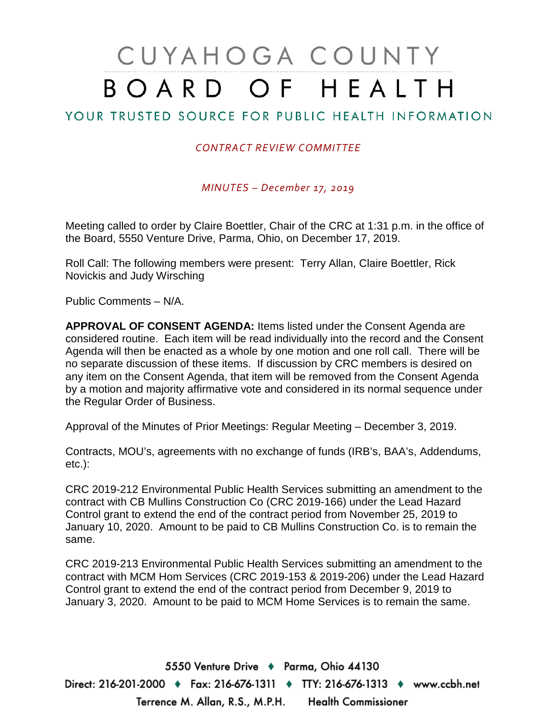# CUYAHOGA COUNTY BOARD OF HEALTH

## YOUR TRUSTED SOURCE FOR PUBLIC HEALTH INFORMATION

#### *CONTRACT REVIEW COMMITTEE*

*MINUTES – December 17, 2019*

Meeting called to order by Claire Boettler, Chair of the CRC at 1:31 p.m. in the office of the Board, 5550 Venture Drive, Parma, Ohio, on December 17, 2019.

Roll Call: The following members were present: Terry Allan, Claire Boettler, Rick Novickis and Judy Wirsching

Public Comments – N/A.

**APPROVAL OF CONSENT AGENDA:** Items listed under the Consent Agenda are considered routine. Each item will be read individually into the record and the Consent Agenda will then be enacted as a whole by one motion and one roll call. There will be no separate discussion of these items. If discussion by CRC members is desired on any item on the Consent Agenda, that item will be removed from the Consent Agenda by a motion and majority affirmative vote and considered in its normal sequence under the Regular Order of Business.

Approval of the Minutes of Prior Meetings: Regular Meeting – December 3, 2019.

Contracts, MOU's, agreements with no exchange of funds (IRB's, BAA's, Addendums, etc.):

CRC 2019-212 Environmental Public Health Services submitting an amendment to the contract with CB Mullins Construction Co (CRC 2019-166) under the Lead Hazard Control grant to extend the end of the contract period from November 25, 2019 to January 10, 2020. Amount to be paid to CB Mullins Construction Co. is to remain the same.

CRC 2019-213 Environmental Public Health Services submitting an amendment to the contract with MCM Hom Services (CRC 2019-153 & 2019-206) under the Lead Hazard Control grant to extend the end of the contract period from December 9, 2019 to January 3, 2020. Amount to be paid to MCM Home Services is to remain the same.

5550 Venture Drive + Parma, Ohio 44130 Direct: 216-201-2000 ♦ Fax: 216-676-1311 ♦ TTY: 216-676-1313 ♦ www.ccbh.net Terrence M. Allan, R.S., M.P.H. Health Commissioner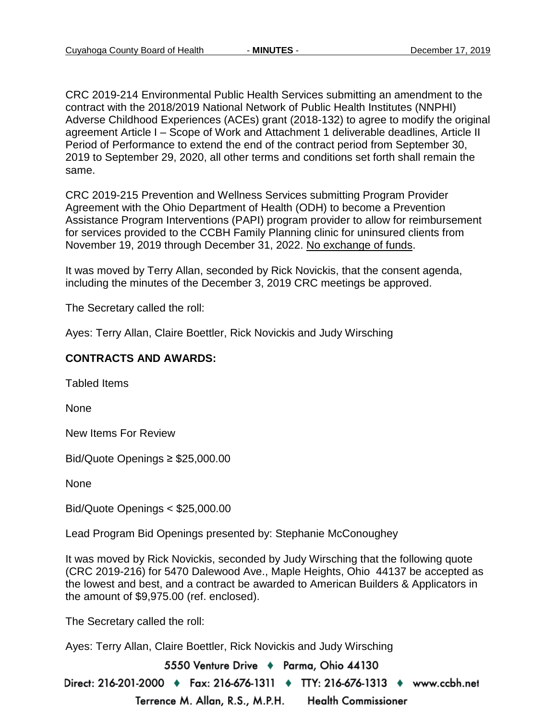CRC 2019-214 Environmental Public Health Services submitting an amendment to the contract with the 2018/2019 National Network of Public Health Institutes (NNPHI) Adverse Childhood Experiences (ACEs) grant (2018-132) to agree to modify the original agreement Article I – Scope of Work and Attachment 1 deliverable deadlines, Article II Period of Performance to extend the end of the contract period from September 30, 2019 to September 29, 2020, all other terms and conditions set forth shall remain the same.

CRC 2019-215 Prevention and Wellness Services submitting Program Provider Agreement with the Ohio Department of Health (ODH) to become a Prevention Assistance Program Interventions (PAPI) program provider to allow for reimbursement for services provided to the CCBH Family Planning clinic for uninsured clients from November 19, 2019 through December 31, 2022. No exchange of funds.

It was moved by Terry Allan, seconded by Rick Novickis, that the consent agenda, including the minutes of the December 3, 2019 CRC meetings be approved.

The Secretary called the roll:

Ayes: Terry Allan, Claire Boettler, Rick Novickis and Judy Wirsching

#### **CONTRACTS AND AWARDS:**

Tabled Items

None

New Items For Review

Bid/Quote Openings ≥ \$25,000.00

None

Bid/Quote Openings < \$25,000.00

Lead Program Bid Openings presented by: Stephanie McConoughey

It was moved by Rick Novickis, seconded by Judy Wirsching that the following quote (CRC 2019-216) for 5470 Dalewood Ave., Maple Heights, Ohio 44137 be accepted as the lowest and best, and a contract be awarded to American Builders & Applicators in the amount of \$9,975.00 (ref. enclosed).

The Secretary called the roll:

Ayes: Terry Allan, Claire Boettler, Rick Novickis and Judy Wirsching

5550 Venture Drive + Parma, Ohio 44130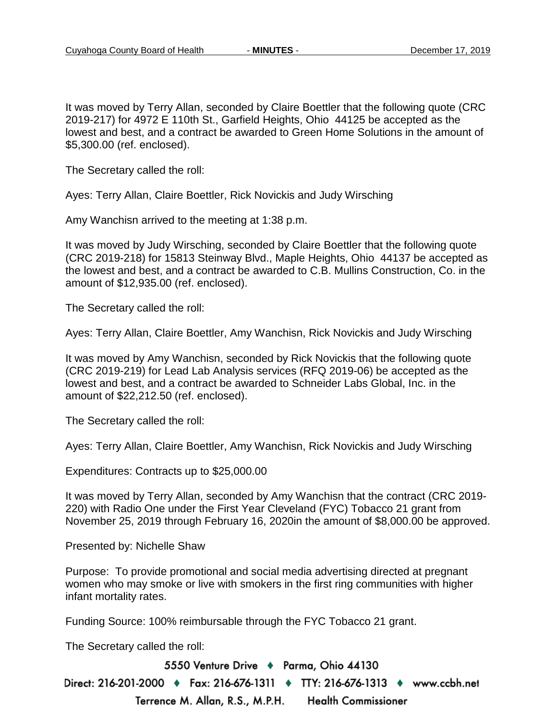It was moved by Terry Allan, seconded by Claire Boettler that the following quote (CRC 2019-217) for 4972 E 110th St., Garfield Heights, Ohio 44125 be accepted as the lowest and best, and a contract be awarded to Green Home Solutions in the amount of \$5,300.00 (ref. enclosed).

The Secretary called the roll:

Ayes: Terry Allan, Claire Boettler, Rick Novickis and Judy Wirsching

Amy Wanchisn arrived to the meeting at 1:38 p.m.

It was moved by Judy Wirsching, seconded by Claire Boettler that the following quote (CRC 2019-218) for 15813 Steinway Blvd., Maple Heights, Ohio 44137 be accepted as the lowest and best, and a contract be awarded to C.B. Mullins Construction, Co. in the amount of \$12,935.00 (ref. enclosed).

The Secretary called the roll:

Ayes: Terry Allan, Claire Boettler, Amy Wanchisn, Rick Novickis and Judy Wirsching

It was moved by Amy Wanchisn, seconded by Rick Novickis that the following quote (CRC 2019-219) for Lead Lab Analysis services (RFQ 2019-06) be accepted as the lowest and best, and a contract be awarded to Schneider Labs Global, Inc. in the amount of \$22,212.50 (ref. enclosed).

The Secretary called the roll:

Ayes: Terry Allan, Claire Boettler, Amy Wanchisn, Rick Novickis and Judy Wirsching

Expenditures: Contracts up to \$25,000.00

It was moved by Terry Allan, seconded by Amy Wanchisn that the contract (CRC 2019- 220) with Radio One under the First Year Cleveland (FYC) Tobacco 21 grant from November 25, 2019 through February 16, 2020in the amount of \$8,000.00 be approved.

Presented by: Nichelle Shaw

Purpose: To provide promotional and social media advertising directed at pregnant women who may smoke or live with smokers in the first ring communities with higher infant mortality rates.

Funding Source: 100% reimbursable through the FYC Tobacco 21 grant.

The Secretary called the roll:

5550 Venture Drive + Parma, Ohio 44130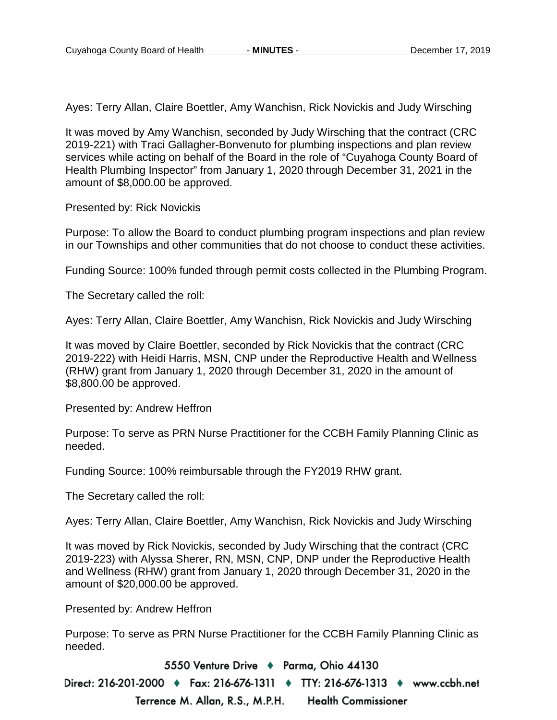Ayes: Terry Allan, Claire Boettler, Amy Wanchisn, Rick Novickis and Judy Wirsching

It was moved by Amy Wanchisn, seconded by Judy Wirsching that the contract (CRC 2019-221) with Traci Gallagher-Bonvenuto for plumbing inspections and plan review services while acting on behalf of the Board in the role of "Cuyahoga County Board of Health Plumbing Inspector" from January 1, 2020 through December 31, 2021 in the amount of \$8,000.00 be approved.

Presented by: Rick Novickis

Purpose: To allow the Board to conduct plumbing program inspections and plan review in our Townships and other communities that do not choose to conduct these activities.

Funding Source: 100% funded through permit costs collected in the Plumbing Program.

The Secretary called the roll:

Ayes: Terry Allan, Claire Boettler, Amy Wanchisn, Rick Novickis and Judy Wirsching

It was moved by Claire Boettler, seconded by Rick Novickis that the contract (CRC 2019-222) with Heidi Harris, MSN, CNP under the Reproductive Health and Wellness (RHW) grant from January 1, 2020 through December 31, 2020 in the amount of \$8,800.00 be approved.

Presented by: Andrew Heffron

Purpose: To serve as PRN Nurse Practitioner for the CCBH Family Planning Clinic as needed.

Funding Source: 100% reimbursable through the FY2019 RHW grant.

The Secretary called the roll:

Ayes: Terry Allan, Claire Boettler, Amy Wanchisn, Rick Novickis and Judy Wirsching

It was moved by Rick Novickis, seconded by Judy Wirsching that the contract (CRC 2019-223) with Alyssa Sherer, RN, MSN, CNP, DNP under the Reproductive Health and Wellness (RHW) grant from January 1, 2020 through December 31, 2020 in the amount of \$20,000.00 be approved.

Presented by: Andrew Heffron

Purpose: To serve as PRN Nurse Practitioner for the CCBH Family Planning Clinic as needed.

5550 Venture Drive + Parma, Ohio 44130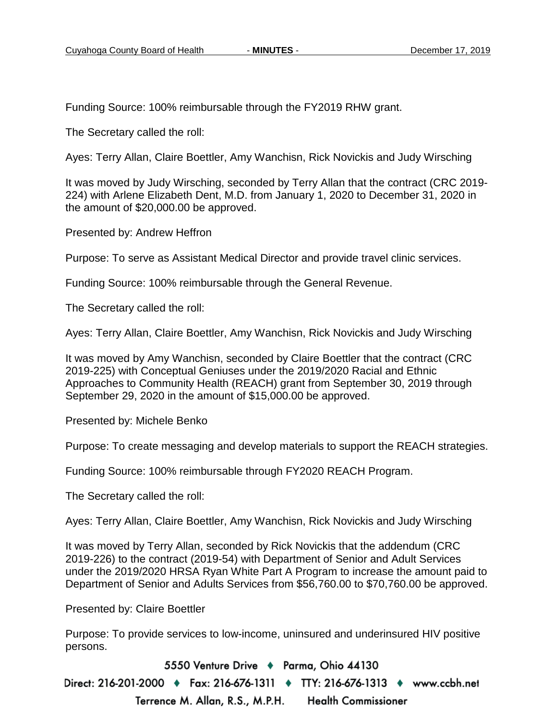Funding Source: 100% reimbursable through the FY2019 RHW grant.

The Secretary called the roll:

Ayes: Terry Allan, Claire Boettler, Amy Wanchisn, Rick Novickis and Judy Wirsching

It was moved by Judy Wirsching, seconded by Terry Allan that the contract (CRC 2019- 224) with Arlene Elizabeth Dent, M.D. from January 1, 2020 to December 31, 2020 in the amount of \$20,000.00 be approved.

Presented by: Andrew Heffron

Purpose: To serve as Assistant Medical Director and provide travel clinic services.

Funding Source: 100% reimbursable through the General Revenue.

The Secretary called the roll:

Ayes: Terry Allan, Claire Boettler, Amy Wanchisn, Rick Novickis and Judy Wirsching

It was moved by Amy Wanchisn, seconded by Claire Boettler that the contract (CRC 2019-225) with Conceptual Geniuses under the 2019/2020 Racial and Ethnic Approaches to Community Health (REACH) grant from September 30, 2019 through September 29, 2020 in the amount of \$15,000.00 be approved.

Presented by: Michele Benko

Purpose: To create messaging and develop materials to support the REACH strategies.

Funding Source: 100% reimbursable through FY2020 REACH Program.

The Secretary called the roll:

Ayes: Terry Allan, Claire Boettler, Amy Wanchisn, Rick Novickis and Judy Wirsching

It was moved by Terry Allan, seconded by Rick Novickis that the addendum (CRC 2019-226) to the contract (2019-54) with Department of Senior and Adult Services under the 2019/2020 HRSA Ryan White Part A Program to increase the amount paid to Department of Senior and Adults Services from \$56,760.00 to \$70,760.00 be approved.

Presented by: Claire Boettler

Purpose: To provide services to low-income, uninsured and underinsured HIV positive persons.

5550 Venture Drive + Parma, Ohio 44130 Direct: 216-201-2000 ♦ Fax: 216-676-1311 ♦ TTY: 216-676-1313 ♦ www.ccbh.net Terrence M. Allan, R.S., M.P.H. **Health Commissioner**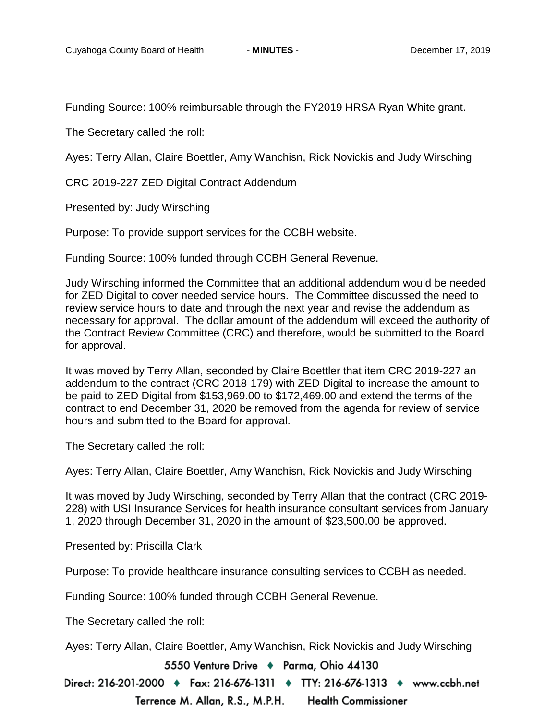Funding Source: 100% reimbursable through the FY2019 HRSA Ryan White grant.

The Secretary called the roll:

Ayes: Terry Allan, Claire Boettler, Amy Wanchisn, Rick Novickis and Judy Wirsching

CRC 2019-227 ZED Digital Contract Addendum

Presented by: Judy Wirsching

Purpose: To provide support services for the CCBH website.

Funding Source: 100% funded through CCBH General Revenue.

Judy Wirsching informed the Committee that an additional addendum would be needed for ZED Digital to cover needed service hours. The Committee discussed the need to review service hours to date and through the next year and revise the addendum as necessary for approval. The dollar amount of the addendum will exceed the authority of the Contract Review Committee (CRC) and therefore, would be submitted to the Board for approval.

It was moved by Terry Allan, seconded by Claire Boettler that item CRC 2019-227 an addendum to the contract (CRC 2018-179) with ZED Digital to increase the amount to be paid to ZED Digital from \$153,969.00 to \$172,469.00 and extend the terms of the contract to end December 31, 2020 be removed from the agenda for review of service hours and submitted to the Board for approval.

The Secretary called the roll:

Ayes: Terry Allan, Claire Boettler, Amy Wanchisn, Rick Novickis and Judy Wirsching

It was moved by Judy Wirsching, seconded by Terry Allan that the contract (CRC 2019- 228) with USI Insurance Services for health insurance consultant services from January 1, 2020 through December 31, 2020 in the amount of \$23,500.00 be approved.

Presented by: Priscilla Clark

Purpose: To provide healthcare insurance consulting services to CCBH as needed.

Funding Source: 100% funded through CCBH General Revenue.

The Secretary called the roll:

Ayes: Terry Allan, Claire Boettler, Amy Wanchisn, Rick Novickis and Judy Wirsching

5550 Venture Drive + Parma, Ohio 44130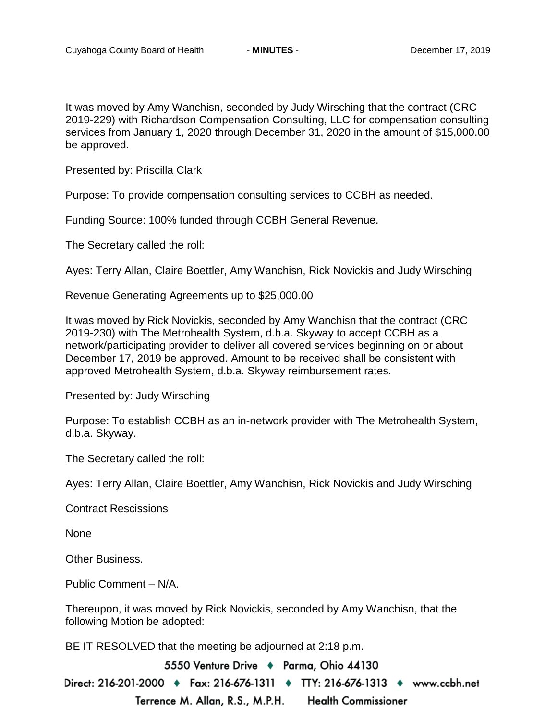It was moved by Amy Wanchisn, seconded by Judy Wirsching that the contract (CRC 2019-229) with Richardson Compensation Consulting, LLC for compensation consulting services from January 1, 2020 through December 31, 2020 in the amount of \$15,000.00 be approved.

Presented by: Priscilla Clark

Purpose: To provide compensation consulting services to CCBH as needed.

Funding Source: 100% funded through CCBH General Revenue.

The Secretary called the roll:

Ayes: Terry Allan, Claire Boettler, Amy Wanchisn, Rick Novickis and Judy Wirsching

Revenue Generating Agreements up to \$25,000.00

It was moved by Rick Novickis, seconded by Amy Wanchisn that the contract (CRC 2019-230) with The Metrohealth System, d.b.a. Skyway to accept CCBH as a network/participating provider to deliver all covered services beginning on or about December 17, 2019 be approved. Amount to be received shall be consistent with approved Metrohealth System, d.b.a. Skyway reimbursement rates.

Presented by: Judy Wirsching

Purpose: To establish CCBH as an in-network provider with The Metrohealth System, d.b.a. Skyway.

The Secretary called the roll:

Ayes: Terry Allan, Claire Boettler, Amy Wanchisn, Rick Novickis and Judy Wirsching

Contract Rescissions

None

Other Business.

Public Comment – N/A.

Thereupon, it was moved by Rick Novickis, seconded by Amy Wanchisn, that the following Motion be adopted:

BE IT RESOLVED that the meeting be adjourned at 2:18 p.m.

5550 Venture Drive + Parma, Ohio 44130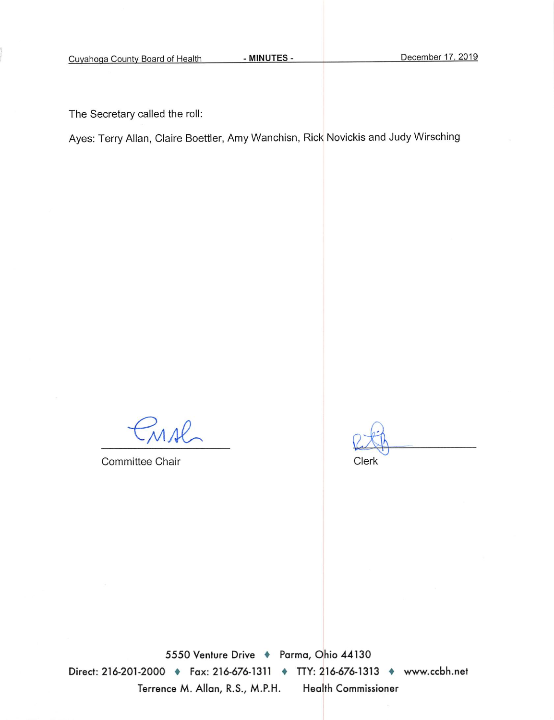The Secretary called the roll:

Ayes: Terry Allan, Claire Boettler, Amy Wanchisn, Rick Novickis and Judy Wirsching

MAL

Committee Chair

Clerk

5550 Venture Drive + Parma, Ohio 44130 Direct: 216-201-2000 • Fax: 216-676-1311 • TTY: 216-676-1313 • www.ccbh.net Terrence M. Allan, R.S., M.P.H. Health Commissioner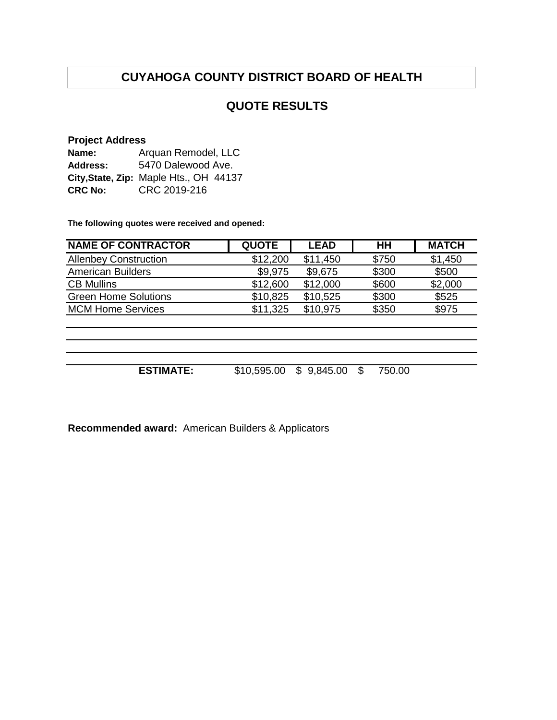## **QUOTE RESULTS**

#### **Project Address**

| Name:          | Arquan Remodel, LLC                    |  |  |  |
|----------------|----------------------------------------|--|--|--|
| Address:       | 5470 Dalewood Ave.                     |  |  |  |
|                | City, State, Zip: Maple Hts., OH 44137 |  |  |  |
| <b>CRC No:</b> | CRC 2019-216                           |  |  |  |

**The following quotes were received and opened:**

| <b>NAME OF CONTRACTOR</b>    | <b>QUOTE</b> | <b>LEAD</b> | HH            | <b>MATCH</b> |
|------------------------------|--------------|-------------|---------------|--------------|
| <b>Allenbey Construction</b> | \$12,200     | \$11,450    | \$750         | \$1,450      |
| <b>American Builders</b>     | \$9,975      | \$9,675     | \$300         | \$500        |
| <b>CB Mullins</b>            | \$12,600     | \$12,000    | \$600         | \$2,000      |
| <b>Green Home Solutions</b>  | \$10,825     | \$10,525    | \$300         | \$525        |
| <b>MCM Home Services</b>     | \$11,325     | \$10,975    | \$350         | \$975        |
|                              |              |             |               |              |
|                              |              |             |               |              |
|                              |              |             |               |              |
| <b>ESTIMATE:</b>             | \$10,595.00  | \$9,845.00  | 750.00<br>\$. |              |

**Recommended award:** American Builders & Applicators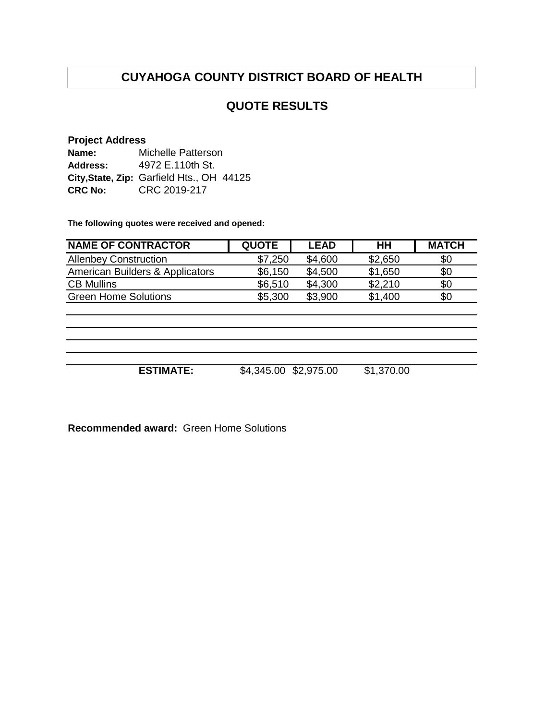## **QUOTE RESULTS**

#### **Project Address**

| Name:           | Michelle Patterson                        |
|-----------------|-------------------------------------------|
| <b>Address:</b> | 4972 E.110th St.                          |
|                 | City, State, Zip: Garfield Hts., OH 44125 |
| <b>CRC No:</b>  | CRC 2019-217                              |

**The following quotes were received and opened:**

| <b>NAME OF CONTRACTOR</b>       | <b>QUOTE</b> | <b>LEAD</b> | HН      | <b>MATCH</b> |
|---------------------------------|--------------|-------------|---------|--------------|
| <b>Allenbey Construction</b>    | \$7,250      | \$4,600     | \$2,650 | \$0          |
| American Builders & Applicators | \$6,150      | \$4,500     | \$1,650 | \$0          |
| <b>CB Mullins</b>               | \$6,510      | \$4,300     | \$2,210 | \$0          |
| <b>Green Home Solutions</b>     | \$5,300      | \$3,900     | \$1,400 | \$0          |
|                                 |              |             |         |              |
|                                 |              |             |         |              |
|                                 |              |             |         |              |
|                                 |              |             |         |              |

**ESTIMATE:** \$4,345.00 \$2,975.00 \$1,370.00

**Recommended award:** Green Home Solutions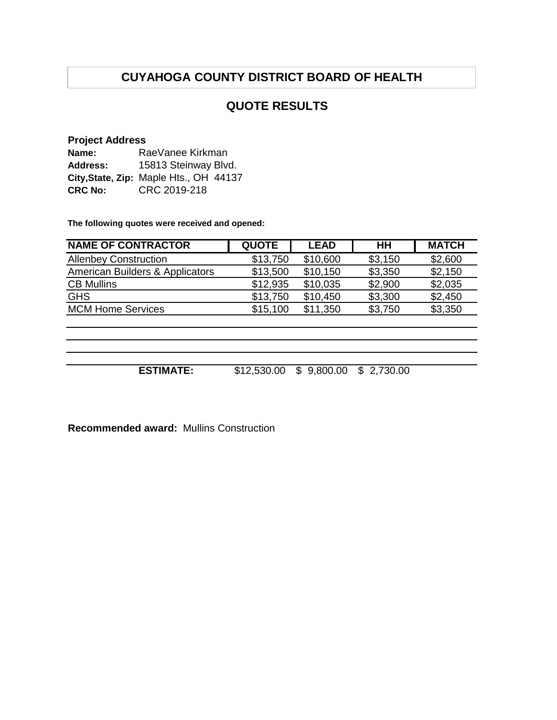## **QUOTE RESULTS**

#### **Project Address**

| Name:          | RaeVanee Kirkman                       |  |  |  |
|----------------|----------------------------------------|--|--|--|
| Address:       | 15813 Steinway Blvd.                   |  |  |  |
|                | City, State, Zip: Maple Hts., OH 44137 |  |  |  |
| <b>CRC No:</b> | CRC 2019-218                           |  |  |  |

**The following quotes were received and opened:**

| <b>NAME OF CONTRACTOR</b>       | <b>QUOTE</b> | <b>LEAD</b>    | $H$ H          | <b>MATCH</b> |
|---------------------------------|--------------|----------------|----------------|--------------|
| <b>Allenbey Construction</b>    | \$13,750     | \$10,600       | \$3,150        | \$2,600      |
| American Builders & Applicators | \$13,500     | \$10,150       | \$3,350        | \$2,150      |
| <b>CB Mullins</b>               | \$12,935     | \$10,035       | \$2,900        | \$2,035      |
| <b>GHS</b>                      | \$13,750     | \$10,450       | \$3,300        | \$2,450      |
| <b>MCM Home Services</b>        | \$15,100     | \$11,350       | \$3,750        | \$3,350      |
|                                 |              |                |                |              |
|                                 |              |                |                |              |
| <b>ESTIMATE:</b>                | \$12,530.00  | 9,800.00<br>\$ | 2,730.00<br>\$ |              |

**Recommended award:** Mullins Construction